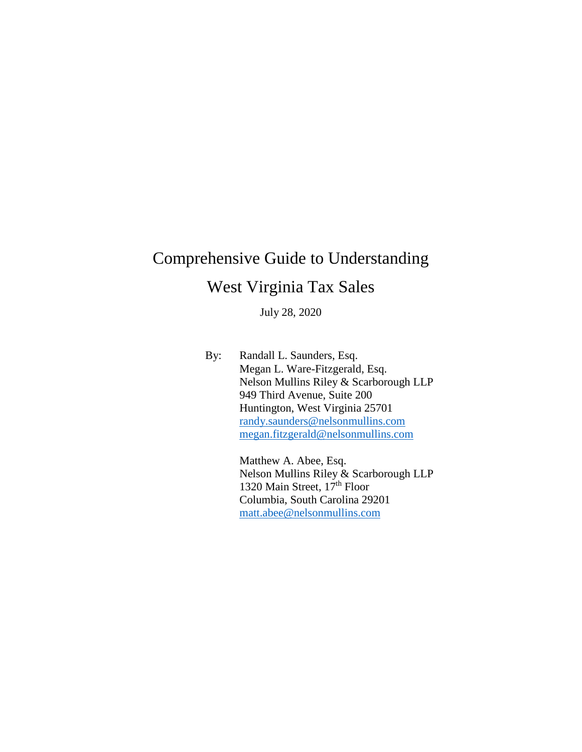# Comprehensive Guide to Understanding West Virginia Tax Sales

July 28, 2020

By: Randall L. Saunders, Esq. Megan L. Ware-Fitzgerald, Esq. Nelson Mullins Riley & Scarborough LLP 949 Third Avenue, Suite 200 Huntington, West Virginia 25701 [randy.saunders@nelsonmullins.com](mailto:randy.saunders@nelsonmullins.com) [megan.fitzgerald@nelsonmullins.com](mailto:megan.fitzgerald@nelsonmullins.com)

> Matthew A. Abee, Esq. Nelson Mullins Riley & Scarborough LLP 1320 Main Street, 17<sup>th</sup> Floor Columbia, South Carolina 29201 [matt.abee@nelsonmullins.com](mailto:matt.abee@nelsonmullins.com)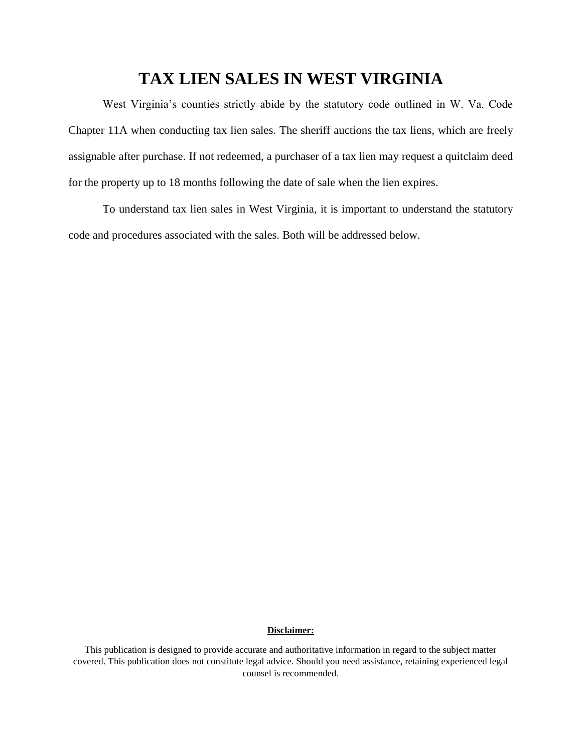# **TAX LIEN SALES IN WEST VIRGINIA**

West Virginia's counties strictly abide by the statutory code outlined in W. Va. Code Chapter 11A when conducting tax lien sales. The sheriff auctions the tax liens, which are freely assignable after purchase. If not redeemed, a purchaser of a tax lien may request a quitclaim deed for the property up to 18 months following the date of sale when the lien expires.

To understand tax lien sales in West Virginia, it is important to understand the statutory code and procedures associated with the sales. Both will be addressed below.

#### **Disclaimer:**

This publication is designed to provide accurate and authoritative information in regard to the subject matter covered. This publication does not constitute legal advice. Should you need assistance, retaining experienced legal counsel is recommended.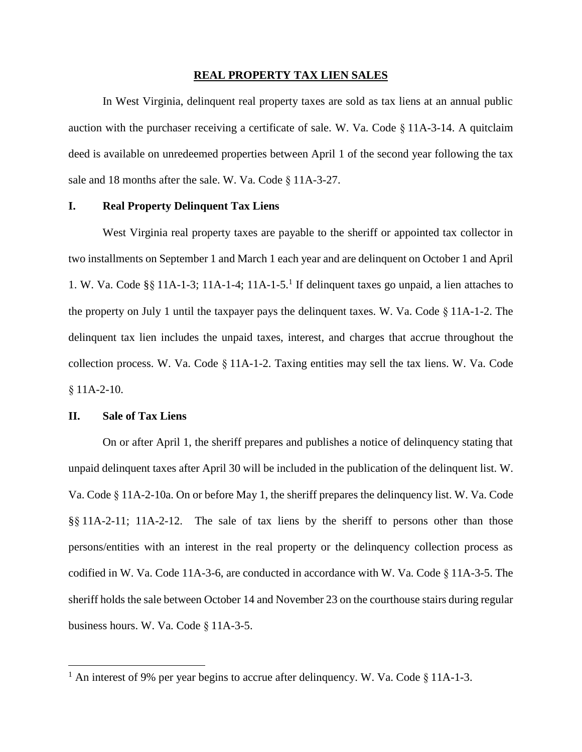#### **REAL PROPERTY TAX LIEN SALES**

In West Virginia, delinquent real property taxes are sold as tax liens at an annual public auction with the purchaser receiving a certificate of sale. W. Va. Code § 11A-3-14. A quitclaim deed is available on unredeemed properties between April 1 of the second year following the tax sale and 18 months after the sale. W. Va. Code § 11A-3-27.

#### **I. Real Property Delinquent Tax Liens**

West Virginia real property taxes are payable to the sheriff or appointed tax collector in two installments on September 1 and March 1 each year and are delinquent on October 1 and April 1. W. Va. Code §§ 11A-1-3; 11A-1-4; 11A-1-5. 1 If delinquent taxes go unpaid, a lien attaches to the property on July 1 until the taxpayer pays the delinquent taxes. W. Va. Code § 11A-1-2. The delinquent tax lien includes the unpaid taxes, interest, and charges that accrue throughout the collection process. W. Va. Code § 11A-1-2. Taxing entities may sell the tax liens. W. Va. Code § 11A-2-10.

#### **II. Sale of Tax Liens**

 $\overline{\phantom{a}}$ 

On or after April 1, the sheriff prepares and publishes a notice of delinquency stating that unpaid delinquent taxes after April 30 will be included in the publication of the delinquent list. W. Va. Code § 11A-2-10a. On or before May 1, the sheriff prepares the delinquency list. W. Va. Code §§ 11A-2-11; 11A-2-12. The sale of tax liens by the sheriff to persons other than those persons/entities with an interest in the real property or the delinquency collection process as codified in W. Va. Code 11A-3-6, are conducted in accordance with W. Va. Code § 11A-3-5. The sheriff holds the sale between October 14 and November 23 on the courthouse stairs during regular business hours. W. Va. Code § 11A-3-5.

<sup>&</sup>lt;sup>1</sup> An interest of 9% per year begins to accrue after delinquency. W. Va. Code  $\S$  11A-1-3.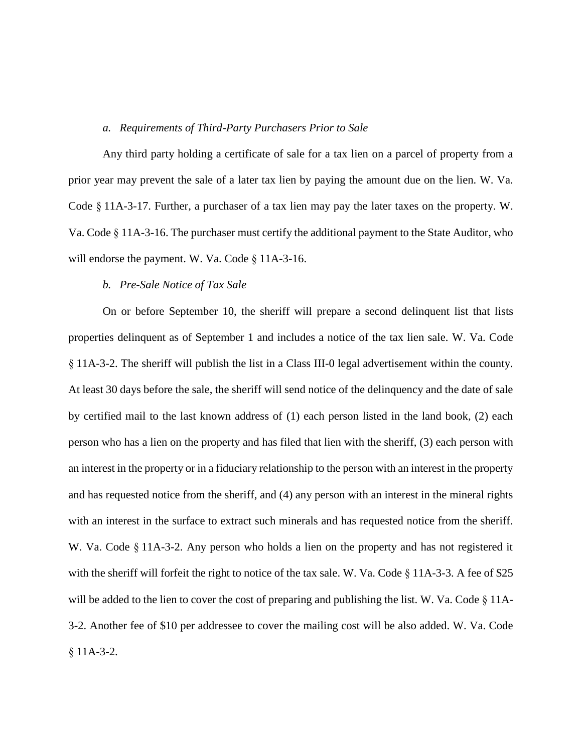#### *a. Requirements of Third-Party Purchasers Prior to Sale*

Any third party holding a certificate of sale for a tax lien on a parcel of property from a prior year may prevent the sale of a later tax lien by paying the amount due on the lien. W. Va. Code § 11A-3-17. Further, a purchaser of a tax lien may pay the later taxes on the property. W. Va. Code § 11A-3-16. The purchaser must certify the additional payment to the State Auditor, who will endorse the payment. W. Va. Code § 11A-3-16.

## *b. Pre-Sale Notice of Tax Sale*

On or before September 10, the sheriff will prepare a second delinquent list that lists properties delinquent as of September 1 and includes a notice of the tax lien sale. W. Va. Code § 11A-3-2. The sheriff will publish the list in a Class III-0 legal advertisement within the county. At least 30 days before the sale, the sheriff will send notice of the delinquency and the date of sale by certified mail to the last known address of (1) each person listed in the land book, (2) each person who has a lien on the property and has filed that lien with the sheriff, (3) each person with an interest in the property or in a fiduciary relationship to the person with an interest in the property and has requested notice from the sheriff, and (4) any person with an interest in the mineral rights with an interest in the surface to extract such minerals and has requested notice from the sheriff. W. Va. Code § 11A-3-2. Any person who holds a lien on the property and has not registered it with the sheriff will forfeit the right to notice of the tax sale. W. Va. Code § 11A-3-3. A fee of \$25 will be added to the lien to cover the cost of preparing and publishing the list. W. Va. Code § 11A-3-2. Another fee of \$10 per addressee to cover the mailing cost will be also added. W. Va. Code § 11A-3-2.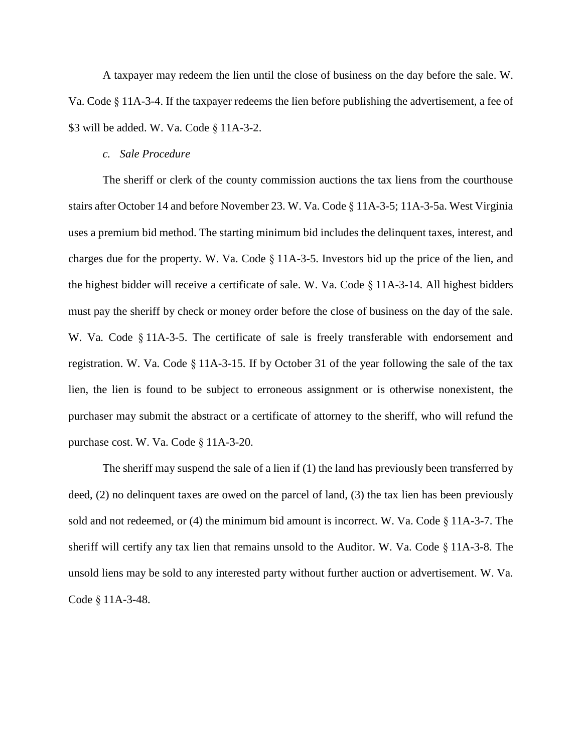A taxpayer may redeem the lien until the close of business on the day before the sale. W. Va. Code § 11A-3-4. If the taxpayer redeems the lien before publishing the advertisement, a fee of \$3 will be added. W. Va. Code § 11A-3-2.

#### *c. Sale Procedure*

The sheriff or clerk of the county commission auctions the tax liens from the courthouse stairs after October 14 and before November 23. W. Va. Code § 11A-3-5; 11A-3-5a. West Virginia uses a premium bid method. The starting minimum bid includes the delinquent taxes, interest, and charges due for the property. W. Va. Code § 11A-3-5. Investors bid up the price of the lien, and the highest bidder will receive a certificate of sale. W. Va. Code § 11A-3-14. All highest bidders must pay the sheriff by check or money order before the close of business on the day of the sale. W. Va. Code §11A-3-5. The certificate of sale is freely transferable with endorsement and registration. W. Va. Code § 11A-3-15. If by October 31 of the year following the sale of the tax lien, the lien is found to be subject to erroneous assignment or is otherwise nonexistent, the purchaser may submit the abstract or a certificate of attorney to the sheriff, who will refund the purchase cost. W. Va. Code § 11A-3-20.

The sheriff may suspend the sale of a lien if (1) the land has previously been transferred by deed, (2) no delinquent taxes are owed on the parcel of land, (3) the tax lien has been previously sold and not redeemed, or (4) the minimum bid amount is incorrect. W. Va. Code § 11A-3-7. The sheriff will certify any tax lien that remains unsold to the Auditor. W. Va. Code § 11A-3-8. The unsold liens may be sold to any interested party without further auction or advertisement. W. Va. Code § 11A-3-48.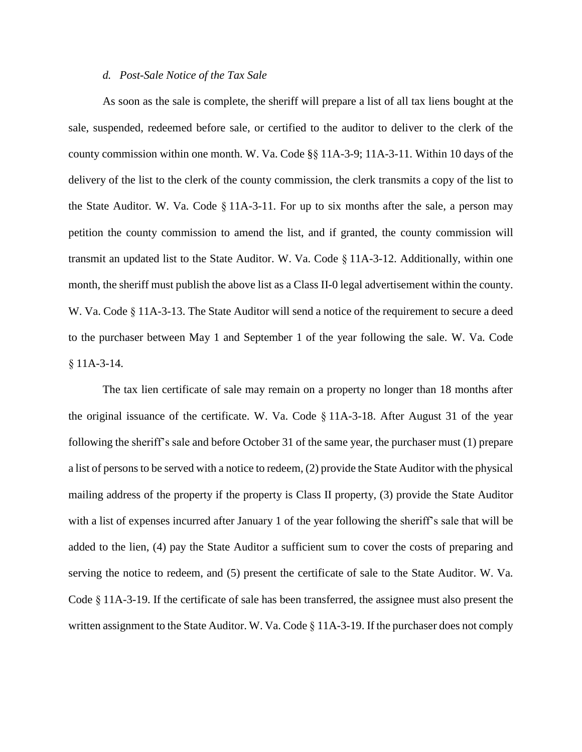#### *d. Post-Sale Notice of the Tax Sale*

As soon as the sale is complete, the sheriff will prepare a list of all tax liens bought at the sale, suspended, redeemed before sale, or certified to the auditor to deliver to the clerk of the county commission within one month. W. Va. Code §§ 11A-3-9; 11A-3-11. Within 10 days of the delivery of the list to the clerk of the county commission, the clerk transmits a copy of the list to the State Auditor. W. Va. Code § 11A-3-11. For up to six months after the sale, a person may petition the county commission to amend the list, and if granted, the county commission will transmit an updated list to the State Auditor. W. Va. Code § 11A-3-12. Additionally, within one month, the sheriff must publish the above list as a Class II-0 legal advertisement within the county. W. Va. Code § 11A-3-13. The State Auditor will send a notice of the requirement to secure a deed to the purchaser between May 1 and September 1 of the year following the sale. W. Va. Code § 11A-3-14.

The tax lien certificate of sale may remain on a property no longer than 18 months after the original issuance of the certificate. W. Va. Code § 11A-3-18. After August 31 of the year following the sheriff's sale and before October 31 of the same year, the purchaser must (1) prepare a list of persons to be served with a notice to redeem, (2) provide the State Auditor with the physical mailing address of the property if the property is Class II property, (3) provide the State Auditor with a list of expenses incurred after January 1 of the year following the sheriff's sale that will be added to the lien, (4) pay the State Auditor a sufficient sum to cover the costs of preparing and serving the notice to redeem, and (5) present the certificate of sale to the State Auditor. W. Va. Code § 11A-3-19. If the certificate of sale has been transferred, the assignee must also present the written assignment to the State Auditor. W. Va. Code § 11A-3-19. If the purchaser does not comply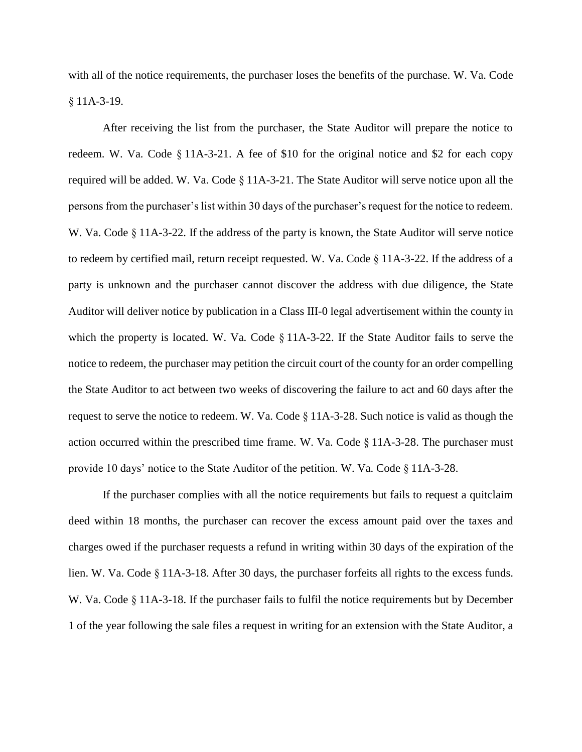with all of the notice requirements, the purchaser loses the benefits of the purchase. W. Va. Code § 11A-3-19.

After receiving the list from the purchaser, the State Auditor will prepare the notice to redeem. W. Va. Code § 11A-3-21. A fee of \$10 for the original notice and \$2 for each copy required will be added. W. Va. Code § 11A-3-21. The State Auditor will serve notice upon all the persons from the purchaser's list within 30 days of the purchaser's request for the notice to redeem. W. Va. Code § 11A-3-22. If the address of the party is known, the State Auditor will serve notice to redeem by certified mail, return receipt requested. W. Va. Code § 11A-3-22. If the address of a party is unknown and the purchaser cannot discover the address with due diligence, the State Auditor will deliver notice by publication in a Class III-0 legal advertisement within the county in which the property is located. W. Va. Code § 11A-3-22. If the State Auditor fails to serve the notice to redeem, the purchaser may petition the circuit court of the county for an order compelling the State Auditor to act between two weeks of discovering the failure to act and 60 days after the request to serve the notice to redeem. W. Va. Code § 11A-3-28. Such notice is valid as though the action occurred within the prescribed time frame. W. Va. Code § 11A-3-28. The purchaser must provide 10 days' notice to the State Auditor of the petition. W. Va. Code § 11A-3-28.

If the purchaser complies with all the notice requirements but fails to request a quitclaim deed within 18 months, the purchaser can recover the excess amount paid over the taxes and charges owed if the purchaser requests a refund in writing within 30 days of the expiration of the lien. W. Va. Code § 11A-3-18. After 30 days, the purchaser forfeits all rights to the excess funds. W. Va. Code § 11A-3-18. If the purchaser fails to fulfil the notice requirements but by December 1 of the year following the sale files a request in writing for an extension with the State Auditor, a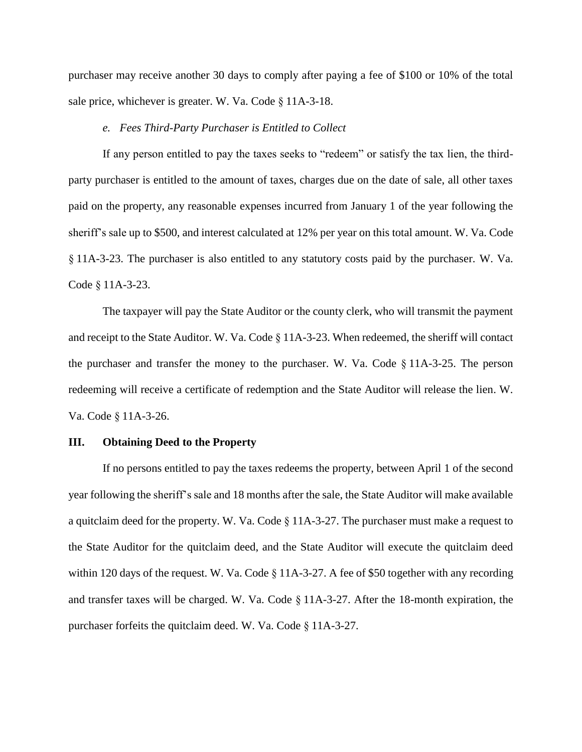purchaser may receive another 30 days to comply after paying a fee of \$100 or 10% of the total sale price, whichever is greater. W. Va. Code § 11A-3-18.

#### *e. Fees Third-Party Purchaser is Entitled to Collect*

If any person entitled to pay the taxes seeks to "redeem" or satisfy the tax lien, the thirdparty purchaser is entitled to the amount of taxes, charges due on the date of sale, all other taxes paid on the property, any reasonable expenses incurred from January 1 of the year following the sheriff's sale up to \$500, and interest calculated at 12% per year on this total amount. W. Va. Code § 11A-3-23. The purchaser is also entitled to any statutory costs paid by the purchaser. W. Va. Code § 11A-3-23.

The taxpayer will pay the State Auditor or the county clerk, who will transmit the payment and receipt to the State Auditor. W. Va. Code § 11A-3-23. When redeemed, the sheriff will contact the purchaser and transfer the money to the purchaser. W. Va. Code § 11A-3-25. The person redeeming will receive a certificate of redemption and the State Auditor will release the lien. W. Va. Code § 11A-3-26.

#### **III. Obtaining Deed to the Property**

If no persons entitled to pay the taxes redeems the property, between April 1 of the second year following the sheriff's sale and 18 months after the sale, the State Auditor will make available a quitclaim deed for the property. W. Va. Code § 11A-3-27. The purchaser must make a request to the State Auditor for the quitclaim deed, and the State Auditor will execute the quitclaim deed within 120 days of the request. W. Va. Code § 11A-3-27. A fee of \$50 together with any recording and transfer taxes will be charged. W. Va. Code § 11A-3-27. After the 18-month expiration, the purchaser forfeits the quitclaim deed. W. Va. Code § 11A-3-27.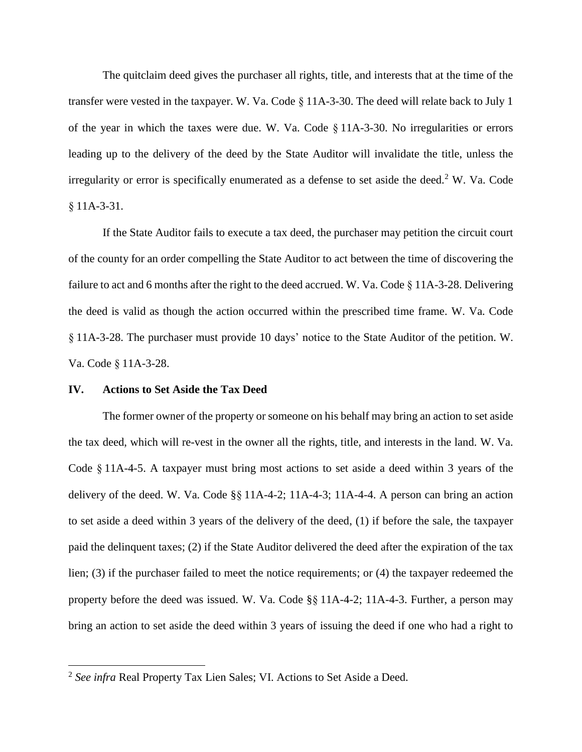The quitclaim deed gives the purchaser all rights, title, and interests that at the time of the transfer were vested in the taxpayer. W. Va. Code § 11A-3-30. The deed will relate back to July 1 of the year in which the taxes were due. W. Va. Code § 11A-3-30. No irregularities or errors leading up to the delivery of the deed by the State Auditor will invalidate the title, unless the irregularity or error is specifically enumerated as a defense to set aside the deed.<sup>2</sup> W. Va. Code § 11A-3-31.

If the State Auditor fails to execute a tax deed, the purchaser may petition the circuit court of the county for an order compelling the State Auditor to act between the time of discovering the failure to act and 6 months after the right to the deed accrued. W. Va. Code § 11A-3-28. Delivering the deed is valid as though the action occurred within the prescribed time frame. W. Va. Code § 11A-3-28. The purchaser must provide 10 days' notice to the State Auditor of the petition. W. Va. Code § 11A-3-28.

#### **IV. Actions to Set Aside the Tax Deed**

 $\overline{\phantom{a}}$ 

The former owner of the property or someone on his behalf may bring an action to set aside the tax deed, which will re-vest in the owner all the rights, title, and interests in the land. W. Va. Code § 11A-4-5. A taxpayer must bring most actions to set aside a deed within 3 years of the delivery of the deed. W. Va. Code §§ 11A-4-2; 11A-4-3; 11A-4-4. A person can bring an action to set aside a deed within 3 years of the delivery of the deed, (1) if before the sale, the taxpayer paid the delinquent taxes; (2) if the State Auditor delivered the deed after the expiration of the tax lien; (3) if the purchaser failed to meet the notice requirements; or (4) the taxpayer redeemed the property before the deed was issued. W. Va. Code §§ 11A-4-2; 11A-4-3. Further, a person may bring an action to set aside the deed within 3 years of issuing the deed if one who had a right to

<sup>2</sup> *See infra* Real Property Tax Lien Sales; VI. Actions to Set Aside a Deed.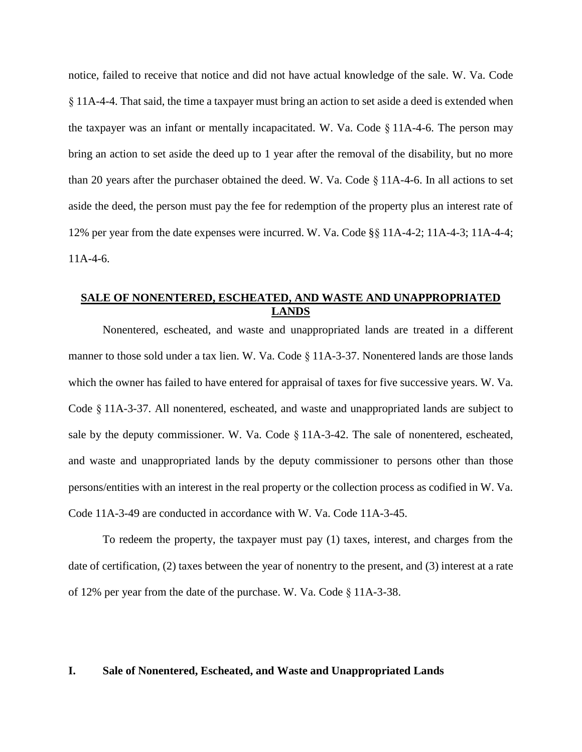notice, failed to receive that notice and did not have actual knowledge of the sale. W. Va. Code § 11A-4-4. That said, the time a taxpayer must bring an action to set aside a deed is extended when the taxpayer was an infant or mentally incapacitated. W. Va. Code  $\S$  11A-4-6. The person may bring an action to set aside the deed up to 1 year after the removal of the disability, but no more than 20 years after the purchaser obtained the deed. W. Va. Code § 11A-4-6. In all actions to set aside the deed, the person must pay the fee for redemption of the property plus an interest rate of 12% per year from the date expenses were incurred. W. Va. Code §§ 11A-4-2; 11A-4-3; 11A-4-4;  $11A-4-6.$ 

# **SALE OF NONENTERED, ESCHEATED, AND WASTE AND UNAPPROPRIATED LANDS**

Nonentered, escheated, and waste and unappropriated lands are treated in a different manner to those sold under a tax lien. W. Va. Code § 11A-3-37. Nonentered lands are those lands which the owner has failed to have entered for appraisal of taxes for five successive years. W. Va. Code § 11A-3-37. All nonentered, escheated, and waste and unappropriated lands are subject to sale by the deputy commissioner. W. Va. Code § 11A-3-42. The sale of nonentered, escheated, and waste and unappropriated lands by the deputy commissioner to persons other than those persons/entities with an interest in the real property or the collection process as codified in W. Va. Code 11A-3-49 are conducted in accordance with W. Va. Code 11A-3-45.

To redeem the property, the taxpayer must pay (1) taxes, interest, and charges from the date of certification, (2) taxes between the year of nonentry to the present, and (3) interest at a rate of 12% per year from the date of the purchase. W. Va. Code § 11A-3-38.

### **I. Sale of Nonentered, Escheated, and Waste and Unappropriated Lands**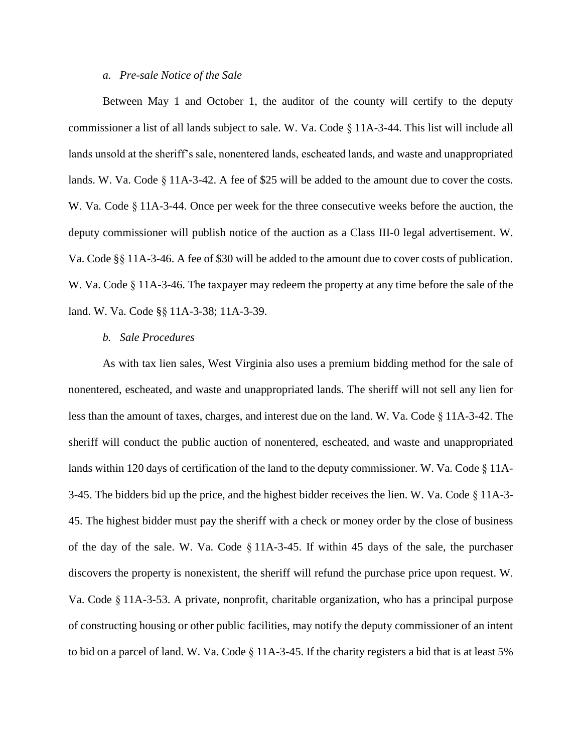#### *a. Pre-sale Notice of the Sale*

Between May 1 and October 1, the auditor of the county will certify to the deputy commissioner a list of all lands subject to sale. W. Va. Code § 11A-3-44. This list will include all lands unsold at the sheriff's sale, nonentered lands, escheated lands, and waste and unappropriated lands. W. Va. Code § 11A-3-42. A fee of \$25 will be added to the amount due to cover the costs. W. Va. Code § 11A-3-44. Once per week for the three consecutive weeks before the auction, the deputy commissioner will publish notice of the auction as a Class III-0 legal advertisement. W. Va. Code §§ 11A-3-46. A fee of \$30 will be added to the amount due to cover costs of publication. W. Va. Code § 11A-3-46. The taxpayer may redeem the property at any time before the sale of the land. W. Va. Code §§ 11A-3-38; 11A-3-39.

#### *b. Sale Procedures*

As with tax lien sales, West Virginia also uses a premium bidding method for the sale of nonentered, escheated, and waste and unappropriated lands. The sheriff will not sell any lien for less than the amount of taxes, charges, and interest due on the land. W. Va. Code § 11A-3-42. The sheriff will conduct the public auction of nonentered, escheated, and waste and unappropriated lands within 120 days of certification of the land to the deputy commissioner. W. Va. Code § 11A-3-45. The bidders bid up the price, and the highest bidder receives the lien. W. Va. Code § 11A-3- 45. The highest bidder must pay the sheriff with a check or money order by the close of business of the day of the sale. W. Va. Code § 11A-3-45. If within 45 days of the sale, the purchaser discovers the property is nonexistent, the sheriff will refund the purchase price upon request. W. Va. Code § 11A-3-53. A private, nonprofit, charitable organization, who has a principal purpose of constructing housing or other public facilities, may notify the deputy commissioner of an intent to bid on a parcel of land. W. Va. Code § 11A-3-45. If the charity registers a bid that is at least 5%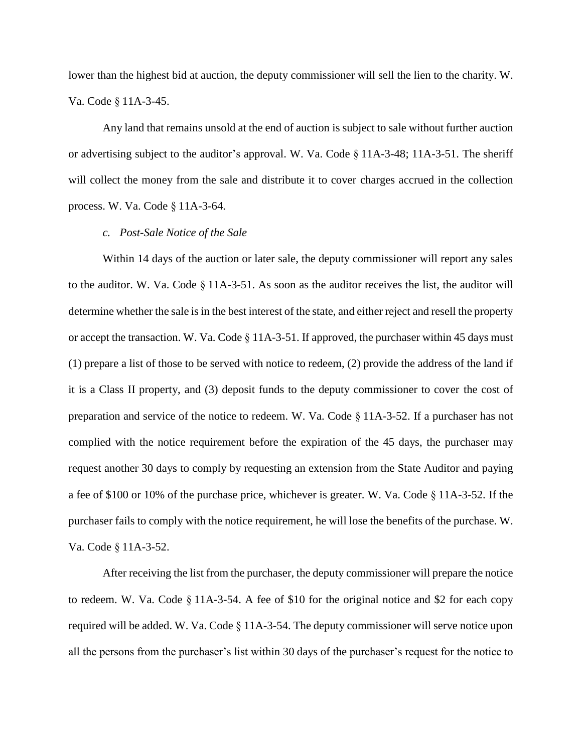lower than the highest bid at auction, the deputy commissioner will sell the lien to the charity. W. Va. Code § 11A-3-45.

Any land that remains unsold at the end of auction is subject to sale without further auction or advertising subject to the auditor's approval. W. Va. Code § 11A-3-48; 11A-3-51. The sheriff will collect the money from the sale and distribute it to cover charges accrued in the collection process. W. Va. Code § 11A-3-64.

#### *c. Post-Sale Notice of the Sale*

Within 14 days of the auction or later sale, the deputy commissioner will report any sales to the auditor. W. Va. Code § 11A-3-51. As soon as the auditor receives the list, the auditor will determine whether the sale is in the best interest of the state, and either reject and resell the property or accept the transaction. W. Va. Code § 11A-3-51. If approved, the purchaser within 45 days must (1) prepare a list of those to be served with notice to redeem, (2) provide the address of the land if it is a Class II property, and (3) deposit funds to the deputy commissioner to cover the cost of preparation and service of the notice to redeem. W. Va. Code § 11A-3-52. If a purchaser has not complied with the notice requirement before the expiration of the 45 days, the purchaser may request another 30 days to comply by requesting an extension from the State Auditor and paying a fee of \$100 or 10% of the purchase price, whichever is greater. W. Va. Code § 11A-3-52. If the purchaser fails to comply with the notice requirement, he will lose the benefits of the purchase. W. Va. Code § 11A-3-52.

After receiving the list from the purchaser, the deputy commissioner will prepare the notice to redeem. W. Va. Code § 11A-3-54. A fee of \$10 for the original notice and \$2 for each copy required will be added. W. Va. Code § 11A-3-54. The deputy commissioner will serve notice upon all the persons from the purchaser's list within 30 days of the purchaser's request for the notice to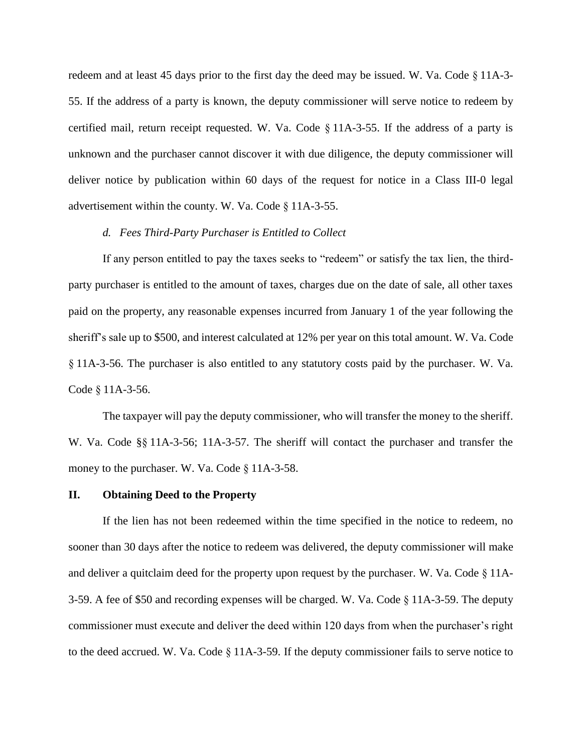redeem and at least 45 days prior to the first day the deed may be issued. W. Va. Code § 11A-3- 55. If the address of a party is known, the deputy commissioner will serve notice to redeem by certified mail, return receipt requested. W. Va. Code § 11A-3-55. If the address of a party is unknown and the purchaser cannot discover it with due diligence, the deputy commissioner will deliver notice by publication within 60 days of the request for notice in a Class III-0 legal advertisement within the county. W. Va. Code § 11A-3-55.

#### *d. Fees Third-Party Purchaser is Entitled to Collect*

If any person entitled to pay the taxes seeks to "redeem" or satisfy the tax lien, the thirdparty purchaser is entitled to the amount of taxes, charges due on the date of sale, all other taxes paid on the property, any reasonable expenses incurred from January 1 of the year following the sheriff's sale up to \$500, and interest calculated at 12% per year on this total amount. W. Va. Code § 11A-3-56. The purchaser is also entitled to any statutory costs paid by the purchaser. W. Va. Code § 11A-3-56.

The taxpayer will pay the deputy commissioner, who will transfer the money to the sheriff. W. Va. Code §§ 11A-3-56; 11A-3-57. The sheriff will contact the purchaser and transfer the money to the purchaser. W. Va. Code § 11A-3-58.

#### **II. Obtaining Deed to the Property**

If the lien has not been redeemed within the time specified in the notice to redeem, no sooner than 30 days after the notice to redeem was delivered, the deputy commissioner will make and deliver a quitclaim deed for the property upon request by the purchaser. W. Va. Code § 11A-3-59. A fee of \$50 and recording expenses will be charged. W. Va. Code § 11A-3-59. The deputy commissioner must execute and deliver the deed within 120 days from when the purchaser's right to the deed accrued. W. Va. Code § 11A-3-59. If the deputy commissioner fails to serve notice to